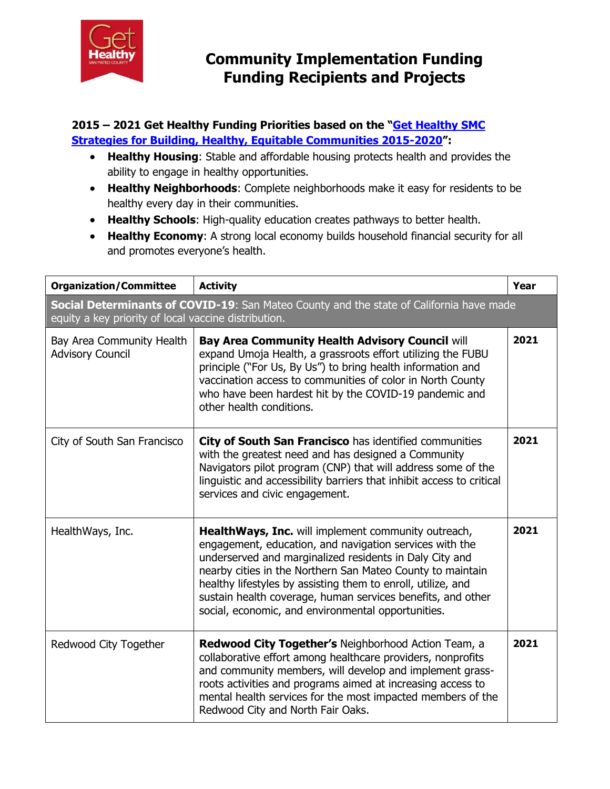

#### **2015 – 2021 Get Healthy Funding Priorities based on the "[Get Healthy SMC](http://www.gethealthysmc.org/sites/main/files/file-attachments/get_healthy_smc_strategic_plan_2015-2020_final.pdf)  [Strategies for Building, Healthy, Equitable Communities 2015-2020](http://www.gethealthysmc.org/sites/main/files/file-attachments/get_healthy_smc_strategic_plan_2015-2020_final.pdf)":**

- **Healthy Housing**: Stable and affordable housing protects health and provides the ability to engage in healthy opportunities.
- **Healthy Neighborhoods**: Complete neighborhoods make it easy for residents to be healthy every day in their communities.
- **Healthy Schools**: High-quality education creates pathways to better health.
- **Healthy Economy**: A strong local economy builds household financial security for all and promotes everyone's health.

| <b>Organization/Committee</b>                                                                                                                   | <b>Activity</b>                                                                                                                                                                                                                                                                                                                                                                                                              | Year |
|-------------------------------------------------------------------------------------------------------------------------------------------------|------------------------------------------------------------------------------------------------------------------------------------------------------------------------------------------------------------------------------------------------------------------------------------------------------------------------------------------------------------------------------------------------------------------------------|------|
| Social Determinants of COVID-19: San Mateo County and the state of California have made<br>equity a key priority of local vaccine distribution. |                                                                                                                                                                                                                                                                                                                                                                                                                              |      |
| Bay Area Community Health<br><b>Advisory Council</b>                                                                                            | <b>Bay Area Community Health Advisory Council will</b><br>expand Umoja Health, a grassroots effort utilizing the FUBU<br>principle ("For Us, By Us") to bring health information and<br>vaccination access to communities of color in North County<br>who have been hardest hit by the COVID-19 pandemic and<br>other health conditions.                                                                                     | 2021 |
| City of South San Francisco                                                                                                                     | City of South San Francisco has identified communities<br>with the greatest need and has designed a Community<br>Navigators pilot program (CNP) that will address some of the<br>linguistic and accessibility barriers that inhibit access to critical<br>services and civic engagement.                                                                                                                                     | 2021 |
| HealthWays, Inc.                                                                                                                                | HealthWays, Inc. will implement community outreach,<br>engagement, education, and navigation services with the<br>underserved and marginalized residents in Daly City and<br>nearby cities in the Northern San Mateo County to maintain<br>healthy lifestyles by assisting them to enroll, utilize, and<br>sustain health coverage, human services benefits, and other<br>social, economic, and environmental opportunities. | 2021 |
| Redwood City Together                                                                                                                           | Redwood City Together's Neighborhood Action Team, a<br>collaborative effort among healthcare providers, nonprofits<br>and community members, will develop and implement grass-<br>roots activities and programs aimed at increasing access to<br>mental health services for the most impacted members of the<br>Redwood City and North Fair Oaks.                                                                            | 2021 |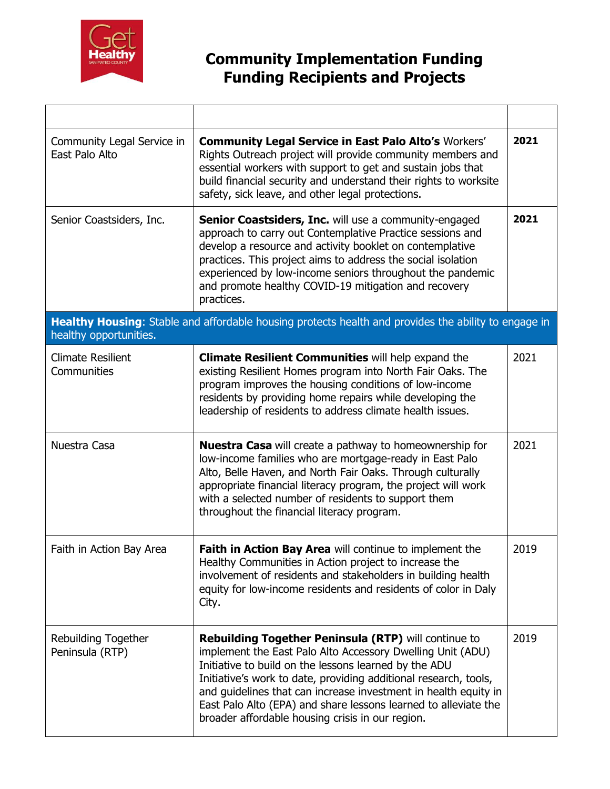

| Community Legal Service in<br>East Palo Alto                                                                                   | <b>Community Legal Service in East Palo Alto's Workers'</b><br>Rights Outreach project will provide community members and<br>essential workers with support to get and sustain jobs that<br>build financial security and understand their rights to worksite<br>safety, sick leave, and other legal protections.                                                                                                                                 | 2021 |
|--------------------------------------------------------------------------------------------------------------------------------|--------------------------------------------------------------------------------------------------------------------------------------------------------------------------------------------------------------------------------------------------------------------------------------------------------------------------------------------------------------------------------------------------------------------------------------------------|------|
| Senior Coastsiders, Inc.                                                                                                       | <b>Senior Coastsiders, Inc.</b> will use a community-engaged<br>approach to carry out Contemplative Practice sessions and<br>develop a resource and activity booklet on contemplative<br>practices. This project aims to address the social isolation<br>experienced by low-income seniors throughout the pandemic<br>and promote healthy COVID-19 mitigation and recovery<br>practices.                                                         | 2021 |
| Healthy Housing: Stable and affordable housing protects health and provides the ability to engage in<br>healthy opportunities. |                                                                                                                                                                                                                                                                                                                                                                                                                                                  |      |
| <b>Climate Resilient</b><br>Communities                                                                                        | <b>Climate Resilient Communities will help expand the</b><br>existing Resilient Homes program into North Fair Oaks. The<br>program improves the housing conditions of low-income<br>residents by providing home repairs while developing the<br>leadership of residents to address climate health issues.                                                                                                                                        | 2021 |
| Nuestra Casa                                                                                                                   | <b>Nuestra Casa</b> will create a pathway to homeownership for<br>low-income families who are mortgage-ready in East Palo<br>Alto, Belle Haven, and North Fair Oaks. Through culturally<br>appropriate financial literacy program, the project will work<br>with a selected number of residents to support them<br>throughout the financial literacy program.                                                                                    | 2021 |
| Faith in Action Bay Area                                                                                                       | Faith in Action Bay Area will continue to implement the<br>Healthy Communities in Action project to increase the<br>involvement of residents and stakeholders in building health<br>equity for low-income residents and residents of color in Daly<br>City.                                                                                                                                                                                      | 2019 |
| <b>Rebuilding Together</b><br>Peninsula (RTP)                                                                                  | <b>Rebuilding Together Peninsula (RTP)</b> will continue to<br>implement the East Palo Alto Accessory Dwelling Unit (ADU)<br>Initiative to build on the lessons learned by the ADU<br>Initiative's work to date, providing additional research, tools,<br>and guidelines that can increase investment in health equity in<br>East Palo Alto (EPA) and share lessons learned to alleviate the<br>broader affordable housing crisis in our region. | 2019 |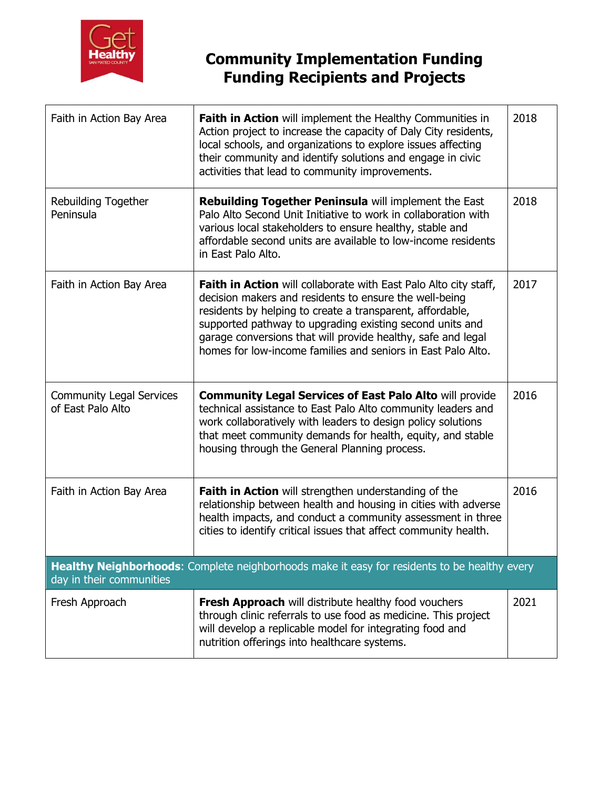

| Faith in Action Bay Area                                                                                                 | <b>Faith in Action</b> will implement the Healthy Communities in<br>Action project to increase the capacity of Daly City residents,<br>local schools, and organizations to explore issues affecting<br>their community and identify solutions and engage in civic<br>activities that lead to community improvements.                                                                       | 2018 |
|--------------------------------------------------------------------------------------------------------------------------|--------------------------------------------------------------------------------------------------------------------------------------------------------------------------------------------------------------------------------------------------------------------------------------------------------------------------------------------------------------------------------------------|------|
| Rebuilding Together<br>Peninsula                                                                                         | Rebuilding Together Peninsula will implement the East<br>Palo Alto Second Unit Initiative to work in collaboration with<br>various local stakeholders to ensure healthy, stable and<br>affordable second units are available to low-income residents<br>in East Palo Alto.                                                                                                                 | 2018 |
| Faith in Action Bay Area                                                                                                 | <b>Faith in Action</b> will collaborate with East Palo Alto city staff,<br>decision makers and residents to ensure the well-being<br>residents by helping to create a transparent, affordable,<br>supported pathway to upgrading existing second units and<br>garage conversions that will provide healthy, safe and legal<br>homes for low-income families and seniors in East Palo Alto. | 2017 |
| <b>Community Legal Services</b><br>of East Palo Alto                                                                     | <b>Community Legal Services of East Palo Alto will provide</b><br>technical assistance to East Palo Alto community leaders and<br>work collaboratively with leaders to design policy solutions<br>that meet community demands for health, equity, and stable<br>housing through the General Planning process.                                                                              | 2016 |
| Faith in Action Bay Area                                                                                                 | Faith in Action will strengthen understanding of the<br>relationship between health and housing in cities with adverse<br>health impacts, and conduct a community assessment in three<br>cities to identify critical issues that affect community health.                                                                                                                                  | 2016 |
| Healthy Neighborhoods: Complete neighborhoods make it easy for residents to be healthy every<br>day in their communities |                                                                                                                                                                                                                                                                                                                                                                                            |      |
| Fresh Approach                                                                                                           | Fresh Approach will distribute healthy food vouchers<br>through clinic referrals to use food as medicine. This project<br>will develop a replicable model for integrating food and<br>nutrition offerings into healthcare systems.                                                                                                                                                         | 2021 |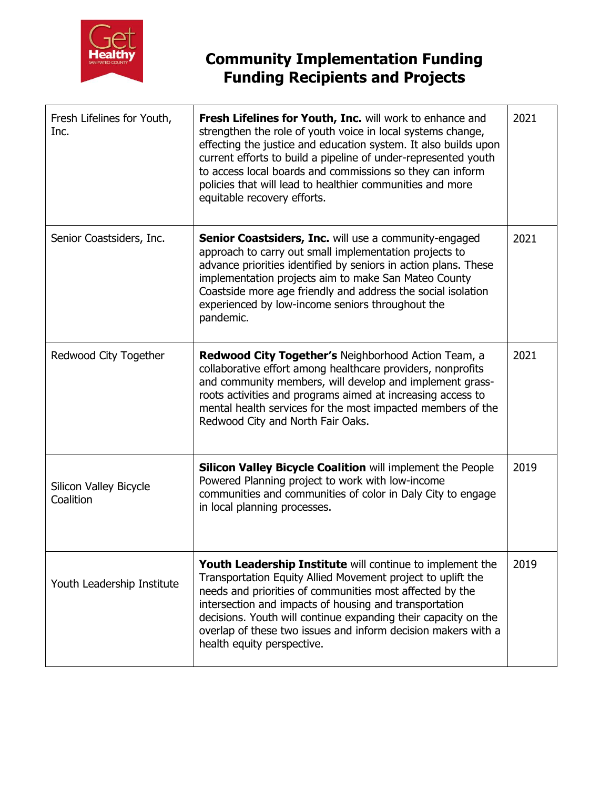

| Fresh Lifelines for Youth,<br>Inc.  | Fresh Lifelines for Youth, Inc. will work to enhance and<br>strengthen the role of youth voice in local systems change,<br>effecting the justice and education system. It also builds upon<br>current efforts to build a pipeline of under-represented youth<br>to access local boards and commissions so they can inform<br>policies that will lead to healthier communities and more<br>equitable recovery efforts. | 2021 |
|-------------------------------------|-----------------------------------------------------------------------------------------------------------------------------------------------------------------------------------------------------------------------------------------------------------------------------------------------------------------------------------------------------------------------------------------------------------------------|------|
| Senior Coastsiders, Inc.            | <b>Senior Coastsiders, Inc.</b> will use a community-engaged<br>approach to carry out small implementation projects to<br>advance priorities identified by seniors in action plans. These<br>implementation projects aim to make San Mateo County<br>Coastside more age friendly and address the social isolation<br>experienced by low-income seniors throughout the<br>pandemic.                                    | 2021 |
| Redwood City Together               | Redwood City Together's Neighborhood Action Team, a<br>collaborative effort among healthcare providers, nonprofits<br>and community members, will develop and implement grass-<br>roots activities and programs aimed at increasing access to<br>mental health services for the most impacted members of the<br>Redwood City and North Fair Oaks.                                                                     | 2021 |
| Silicon Valley Bicycle<br>Coalition | <b>Silicon Valley Bicycle Coalition will implement the People</b><br>Powered Planning project to work with low-income<br>communities and communities of color in Daly City to engage<br>in local planning processes.                                                                                                                                                                                                  | 2019 |
| Youth Leadership Institute          | Youth Leadership Institute will continue to implement the<br>Transportation Equity Allied Movement project to uplift the<br>needs and priorities of communities most affected by the<br>intersection and impacts of housing and transportation<br>decisions. Youth will continue expanding their capacity on the<br>overlap of these two issues and inform decision makers with a<br>health equity perspective.       | 2019 |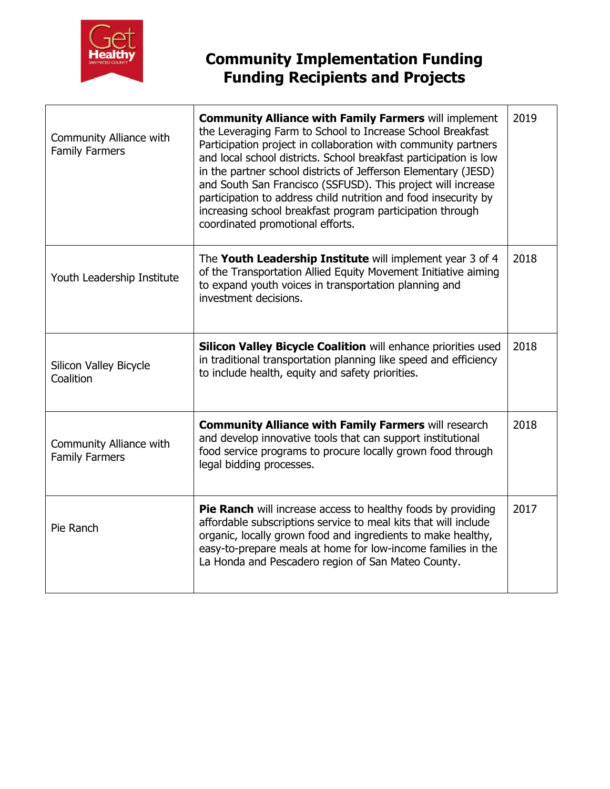

| Community Alliance with<br><b>Family Farmers</b> | <b>Community Alliance with Family Farmers will implement</b><br>the Leveraging Farm to School to Increase School Breakfast<br>Participation project in collaboration with community partners<br>and local school districts. School breakfast participation is low<br>in the partner school districts of Jefferson Elementary (JESD)<br>and South San Francisco (SSFUSD). This project will increase<br>participation to address child nutrition and food insecurity by<br>increasing school breakfast program participation through<br>coordinated promotional efforts. | 2019 |
|--------------------------------------------------|-------------------------------------------------------------------------------------------------------------------------------------------------------------------------------------------------------------------------------------------------------------------------------------------------------------------------------------------------------------------------------------------------------------------------------------------------------------------------------------------------------------------------------------------------------------------------|------|
| Youth Leadership Institute                       | The Youth Leadership Institute will implement year 3 of 4<br>of the Transportation Allied Equity Movement Initiative aiming<br>to expand youth voices in transportation planning and<br>investment decisions.                                                                                                                                                                                                                                                                                                                                                           | 2018 |
| Silicon Valley Bicycle<br>Coalition              | <b>Silicon Valley Bicycle Coalition will enhance priorities used</b><br>in traditional transportation planning like speed and efficiency<br>to include health, equity and safety priorities.                                                                                                                                                                                                                                                                                                                                                                            | 2018 |
| Community Alliance with<br><b>Family Farmers</b> | <b>Community Alliance with Family Farmers will research</b><br>and develop innovative tools that can support institutional<br>food service programs to procure locally grown food through<br>legal bidding processes.                                                                                                                                                                                                                                                                                                                                                   | 2018 |
| Pie Ranch                                        | Pie Ranch will increase access to healthy foods by providing<br>affordable subscriptions service to meal kits that will include<br>organic, locally grown food and ingredients to make healthy,<br>easy-to-prepare meals at home for low-income families in the<br>La Honda and Pescadero region of San Mateo County.                                                                                                                                                                                                                                                   | 2017 |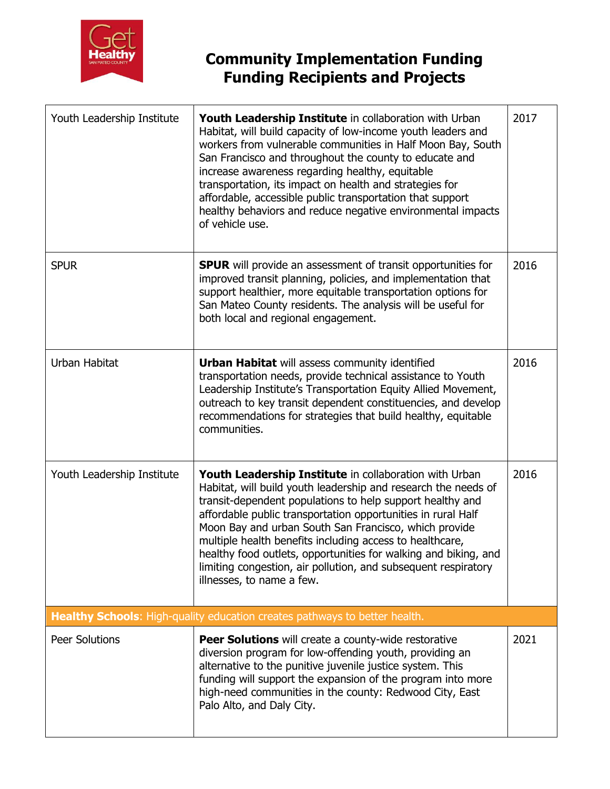

| Youth Leadership Institute | Youth Leadership Institute in collaboration with Urban<br>Habitat, will build capacity of low-income youth leaders and<br>workers from vulnerable communities in Half Moon Bay, South<br>San Francisco and throughout the county to educate and<br>increase awareness regarding healthy, equitable<br>transportation, its impact on health and strategies for<br>affordable, accessible public transportation that support<br>healthy behaviors and reduce negative environmental impacts<br>of vehicle use.                                 | 2017 |
|----------------------------|----------------------------------------------------------------------------------------------------------------------------------------------------------------------------------------------------------------------------------------------------------------------------------------------------------------------------------------------------------------------------------------------------------------------------------------------------------------------------------------------------------------------------------------------|------|
| <b>SPUR</b>                | <b>SPUR</b> will provide an assessment of transit opportunities for<br>improved transit planning, policies, and implementation that<br>support healthier, more equitable transportation options for<br>San Mateo County residents. The analysis will be useful for<br>both local and regional engagement.                                                                                                                                                                                                                                    | 2016 |
| Urban Habitat              | <b>Urban Habitat will assess community identified</b><br>transportation needs, provide technical assistance to Youth<br>Leadership Institute's Transportation Equity Allied Movement,<br>outreach to key transit dependent constituencies, and develop<br>recommendations for strategies that build healthy, equitable<br>communities.                                                                                                                                                                                                       | 2016 |
| Youth Leadership Institute | Youth Leadership Institute in collaboration with Urban<br>Habitat, will build youth leadership and research the needs of<br>transit-dependent populations to help support healthy and<br>affordable public transportation opportunities in rural Half<br>Moon Bay and urban South San Francisco, which provide<br>multiple health benefits including access to healthcare,<br>healthy food outlets, opportunities for walking and biking, and<br>limiting congestion, air pollution, and subsequent respiratory<br>illnesses, to name a few. | 2016 |
|                            | Healthy Schools: High-quality education creates pathways to better health.                                                                                                                                                                                                                                                                                                                                                                                                                                                                   |      |
| <b>Peer Solutions</b>      | <b>Peer Solutions</b> will create a county-wide restorative<br>diversion program for low-offending youth, providing an<br>alternative to the punitive juvenile justice system. This<br>funding will support the expansion of the program into more<br>high-need communities in the county: Redwood City, East<br>Palo Alto, and Daly City.                                                                                                                                                                                                   | 2021 |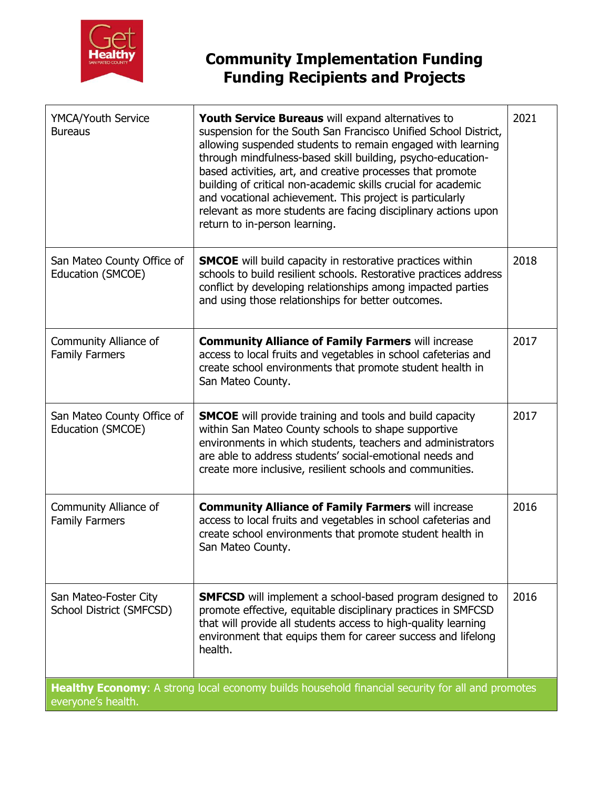

| YMCA/Youth Service<br><b>Bureaus</b>                                                                                   | <b>Youth Service Bureaus</b> will expand alternatives to<br>suspension for the South San Francisco Unified School District,<br>allowing suspended students to remain engaged with learning<br>through mindfulness-based skill building, psycho-education-<br>based activities, art, and creative processes that promote<br>building of critical non-academic skills crucial for academic<br>and vocational achievement. This project is particularly<br>relevant as more students are facing disciplinary actions upon<br>return to in-person learning. | 2021 |
|------------------------------------------------------------------------------------------------------------------------|---------------------------------------------------------------------------------------------------------------------------------------------------------------------------------------------------------------------------------------------------------------------------------------------------------------------------------------------------------------------------------------------------------------------------------------------------------------------------------------------------------------------------------------------------------|------|
| San Mateo County Office of<br>Education (SMCOE)                                                                        | <b>SMCOE</b> will build capacity in restorative practices within<br>schools to build resilient schools. Restorative practices address<br>conflict by developing relationships among impacted parties<br>and using those relationships for better outcomes.                                                                                                                                                                                                                                                                                              | 2018 |
| Community Alliance of<br><b>Family Farmers</b>                                                                         | <b>Community Alliance of Family Farmers will increase</b><br>access to local fruits and vegetables in school cafeterias and<br>create school environments that promote student health in<br>San Mateo County.                                                                                                                                                                                                                                                                                                                                           | 2017 |
| San Mateo County Office of<br>Education (SMCOE)                                                                        | <b>SMCOE</b> will provide training and tools and build capacity<br>within San Mateo County schools to shape supportive<br>environments in which students, teachers and administrators<br>are able to address students' social-emotional needs and<br>create more inclusive, resilient schools and communities.                                                                                                                                                                                                                                          | 2017 |
| Community Alliance of<br><b>Family Farmers</b>                                                                         | <b>Community Alliance of Family Farmers will increase</b><br>access to local fruits and vegetables in school cafeterias and<br>create school environments that promote student health in<br>San Mateo County.                                                                                                                                                                                                                                                                                                                                           | 2016 |
| San Mateo-Foster City<br>School District (SMFCSD)                                                                      | <b>SMFCSD</b> will implement a school-based program designed to<br>promote effective, equitable disciplinary practices in SMFCSD<br>that will provide all students access to high-quality learning<br>environment that equips them for career success and lifelong<br>health.                                                                                                                                                                                                                                                                           | 2016 |
| Healthy Economy: A strong local economy builds household financial security for all and promotes<br>everyone's health. |                                                                                                                                                                                                                                                                                                                                                                                                                                                                                                                                                         |      |